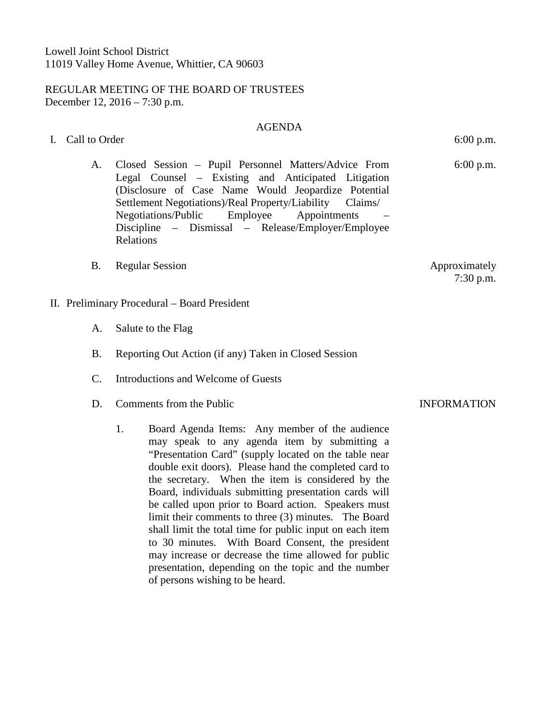# REGULAR MEETING OF THE BOARD OF TRUSTEES December 12, 2016 – 7:30 p.m.

## AGENDA

- I. Call to Order 6:00 p.m.
	- A. Closed Session Pupil Personnel Matters/Advice From Legal Counsel – Existing and Anticipated Litigation (Disclosure of Case Name Would Jeopardize Potential Settlement Negotiations)/Real Property/Liability Claims/ Negotiations/Public Employee Appointments – Discipline – Dismissal – Release/Employer/Employee Relations
	- B. Regular Session Approximately
- II. Preliminary Procedural Board President
	- A. Salute to the Flag
	- B. Reporting Out Action (if any) Taken in Closed Session
	- C. Introductions and Welcome of Guests
	- D. Comments from the Public **INFORMATION** 
		- 1. Board Agenda Items: Any member of the audience may speak to any agenda item by submitting a "Presentation Card" (supply located on the table near double exit doors). Please hand the completed card to the secretary. When the item is considered by the Board, individuals submitting presentation cards will be called upon prior to Board action. Speakers must limit their comments to three (3) minutes. The Board shall limit the total time for public input on each item to 30 minutes. With Board Consent, the president may increase or decrease the time allowed for public presentation, depending on the topic and the number of persons wishing to be heard.

6:00 p.m.

7:30 p.m.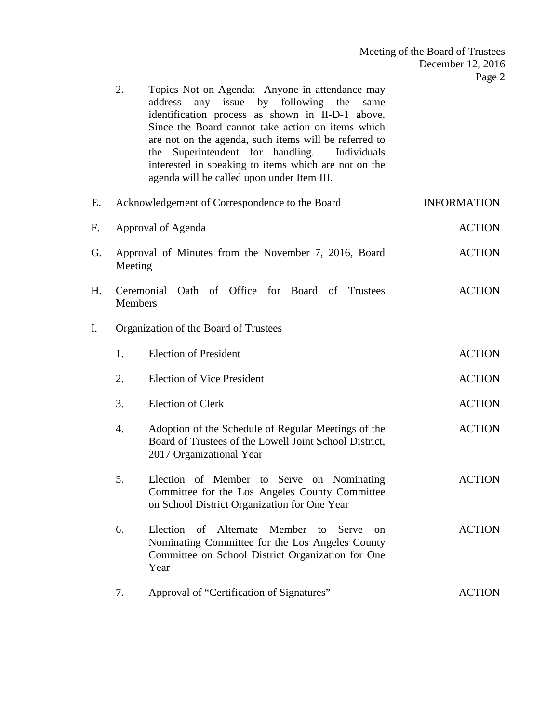|    | 2.             | Topics Not on Agenda: Anyone in attendance may<br>any issue by following the<br>address<br>same<br>identification process as shown in II-D-1 above.<br>Since the Board cannot take action on items which<br>are not on the agenda, such items will be referred to<br>Superintendent for handling.<br>Individuals<br>the<br>interested in speaking to items which are not on the<br>agenda will be called upon under Item III. |                    |
|----|----------------|-------------------------------------------------------------------------------------------------------------------------------------------------------------------------------------------------------------------------------------------------------------------------------------------------------------------------------------------------------------------------------------------------------------------------------|--------------------|
| Е. |                | Acknowledgement of Correspondence to the Board                                                                                                                                                                                                                                                                                                                                                                                | <b>INFORMATION</b> |
| F. |                | Approval of Agenda                                                                                                                                                                                                                                                                                                                                                                                                            | <b>ACTION</b>      |
| G. | Meeting        | Approval of Minutes from the November 7, 2016, Board                                                                                                                                                                                                                                                                                                                                                                          | <b>ACTION</b>      |
| Н. | <b>Members</b> | Oath of Office for Board of Trustees<br>Ceremonial                                                                                                                                                                                                                                                                                                                                                                            | <b>ACTION</b>      |
| I. |                | Organization of the Board of Trustees                                                                                                                                                                                                                                                                                                                                                                                         |                    |
|    | 1.             | <b>Election of President</b>                                                                                                                                                                                                                                                                                                                                                                                                  | <b>ACTION</b>      |
|    | 2.             | <b>Election of Vice President</b>                                                                                                                                                                                                                                                                                                                                                                                             | <b>ACTION</b>      |
|    | 3.             | <b>Election of Clerk</b>                                                                                                                                                                                                                                                                                                                                                                                                      | <b>ACTION</b>      |
|    | 4.             | Adoption of the Schedule of Regular Meetings of the<br>Board of Trustees of the Lowell Joint School District,<br>2017 Organizational Year                                                                                                                                                                                                                                                                                     | <b>ACTION</b>      |
|    | 5.             | Election of Member to Serve on Nominating<br>Committee for the Los Angeles County Committee<br>on School District Organization for One Year                                                                                                                                                                                                                                                                                   | <b>ACTION</b>      |
|    | 6.             | Alternate<br>Election of<br>Member to<br>Serve<br><sub>on</sub><br>Nominating Committee for the Los Angeles County<br>Committee on School District Organization for One<br>Year                                                                                                                                                                                                                                               | <b>ACTION</b>      |
|    | 7.             | Approval of "Certification of Signatures"                                                                                                                                                                                                                                                                                                                                                                                     | <b>ACTION</b>      |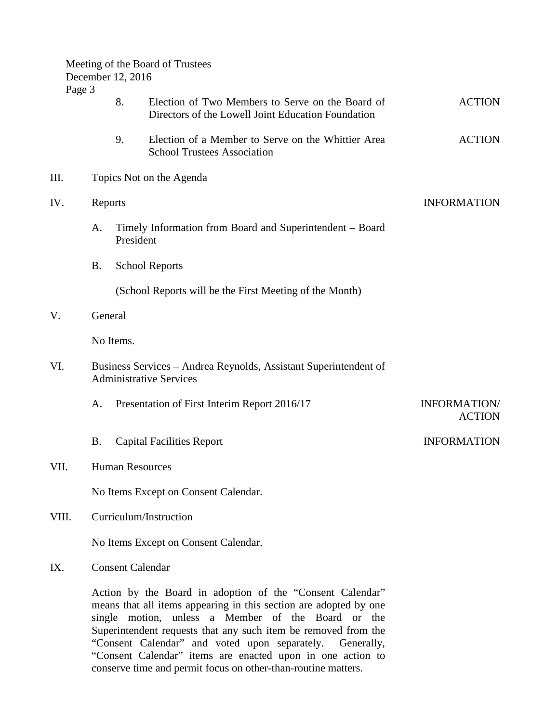|        |                         | Meeting of the Board of Trustees<br>December 12, 2016 |                                                                                                                                |                                      |  |  |  |  |
|--------|-------------------------|-------------------------------------------------------|--------------------------------------------------------------------------------------------------------------------------------|--------------------------------------|--|--|--|--|
| Page 3 |                         | 8.                                                    | Election of Two Members to Serve on the Board of<br>Directors of the Lowell Joint Education Foundation                         | <b>ACTION</b>                        |  |  |  |  |
|        |                         | 9.                                                    | Election of a Member to Serve on the Whittier Area<br><b>School Trustees Association</b>                                       | <b>ACTION</b>                        |  |  |  |  |
| III.   |                         |                                                       | Topics Not on the Agenda                                                                                                       |                                      |  |  |  |  |
| IV.    |                         | Reports                                               |                                                                                                                                | <b>INFORMATION</b>                   |  |  |  |  |
|        | A.                      | President                                             | Timely Information from Board and Superintendent - Board                                                                       |                                      |  |  |  |  |
|        | <b>B.</b>               |                                                       | <b>School Reports</b>                                                                                                          |                                      |  |  |  |  |
|        |                         |                                                       | (School Reports will be the First Meeting of the Month)                                                                        |                                      |  |  |  |  |
| V.     |                         | General                                               |                                                                                                                                |                                      |  |  |  |  |
|        |                         | No Items.                                             |                                                                                                                                |                                      |  |  |  |  |
| VI.    |                         |                                                       | Business Services - Andrea Reynolds, Assistant Superintendent of<br><b>Administrative Services</b>                             |                                      |  |  |  |  |
|        | A.                      |                                                       | Presentation of First Interim Report 2016/17                                                                                   | <b>INFORMATION/</b><br><b>ACTION</b> |  |  |  |  |
|        | <b>B.</b>               |                                                       | <b>Capital Facilities Report</b>                                                                                               | <b>INFORMATION</b>                   |  |  |  |  |
| VII.   |                         |                                                       | <b>Human Resources</b>                                                                                                         |                                      |  |  |  |  |
|        |                         |                                                       | No Items Except on Consent Calendar.                                                                                           |                                      |  |  |  |  |
| VIII.  |                         | Curriculum/Instruction                                |                                                                                                                                |                                      |  |  |  |  |
|        |                         | No Items Except on Consent Calendar.                  |                                                                                                                                |                                      |  |  |  |  |
| IX.    | <b>Consent Calendar</b> |                                                       |                                                                                                                                |                                      |  |  |  |  |
|        |                         |                                                       | Action by the Board in adoption of the "Consent Calendar"<br>means that all items appearing in this section are adopted by one |                                      |  |  |  |  |

single motion, unless a Member of the Board or the Superintendent requests that any such item be removed from the "Consent Calendar" and voted upon separately. Generally, "Consent Calendar" items are enacted upon in one action to conserve time and permit focus on other-than-routine matters.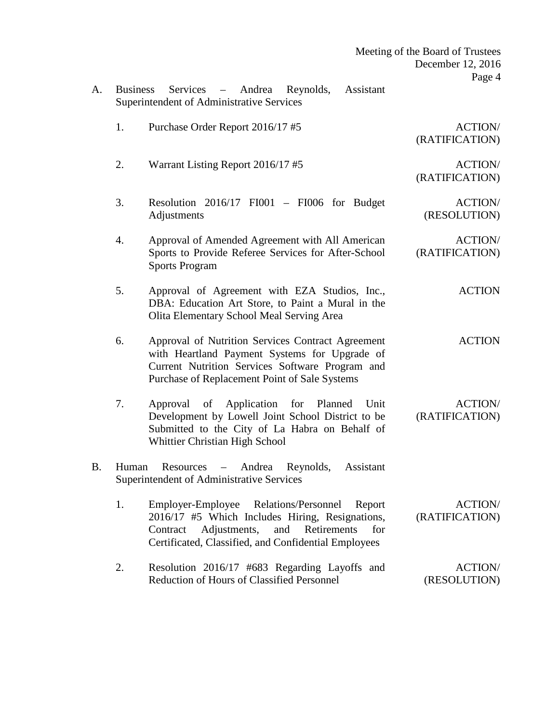| Meeting of the Board of Trustees<br>December 12, 2016<br>Page 4 |                                                                                                                                                                                                                           |           |
|-----------------------------------------------------------------|---------------------------------------------------------------------------------------------------------------------------------------------------------------------------------------------------------------------------|-----------|
|                                                                 | Assistant<br><b>Business</b><br>Services<br>Andrea<br>Reynolds,<br>$\overline{\phantom{m}}$<br>Superintendent of Administrative Services                                                                                  | A.        |
| <b>ACTION/</b><br>(RATIFICATION)                                | 1.<br>Purchase Order Report 2016/17 #5                                                                                                                                                                                    |           |
| <b>ACTION/</b><br>(RATIFICATION)                                | 2.<br>Warrant Listing Report 2016/17 #5                                                                                                                                                                                   |           |
| <b>ACTION/</b><br>(RESOLUTION)                                  | 3.<br>Resolution $2016/17$ FI001 – FI006 for Budget<br>Adjustments                                                                                                                                                        |           |
| <b>ACTION/</b><br>(RATIFICATION)                                | Approval of Amended Agreement with All American<br>4.<br>Sports to Provide Referee Services for After-School<br><b>Sports Program</b>                                                                                     |           |
| <b>ACTION</b>                                                   | 5.<br>Approval of Agreement with EZA Studios, Inc.,<br>DBA: Education Art Store, to Paint a Mural in the<br>Olita Elementary School Meal Serving Area                                                                     |           |
| <b>ACTION</b>                                                   | 6.<br>Approval of Nutrition Services Contract Agreement<br>with Heartland Payment Systems for Upgrade of<br>Current Nutrition Services Software Program and<br>Purchase of Replacement Point of Sale Systems              |           |
| <b>ACTION/</b><br>(RATIFICATION)                                | 7.<br>of Application<br>Approval<br>for<br>Planned<br>Unit<br>Development by Lowell Joint School District to be<br>Submitted to the City of La Habra on Behalf of<br>Whittier Christian High School                       |           |
|                                                                 | Resources – Andrea Reynolds,<br>Assistant<br>Human<br>Superintendent of Administrative Services                                                                                                                           | <b>B.</b> |
| <b>ACTION/</b><br>(RATIFICATION)                                | 1.<br>Employer-Employee Relations/Personnel<br>Report<br>2016/17 #5 Which Includes Hiring, Resignations,<br>Adjustments,<br>and<br>Retirements<br>for<br>Contract<br>Certificated, Classified, and Confidential Employees |           |
| <b>ACTION/</b><br>(RESOLUTION)                                  | 2.<br>Resolution 2016/17 #683 Regarding Layoffs and<br><b>Reduction of Hours of Classified Personnel</b>                                                                                                                  |           |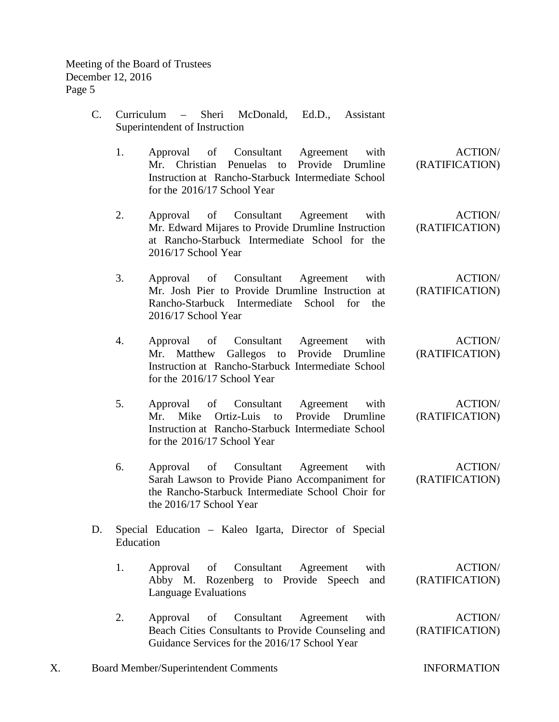Meeting of the Board of Trustees December 12, 2016 Page 5

- C. Curriculum Sheri McDonald, Ed.D., Assistant Superintendent of Instruction
	- 1. Approval of Consultant Agreement with Mr. Christian Penuelas to Provide Drumline Instruction at Rancho-Starbuck Intermediate School for the 2016/17 School Year ACTION/ (RATIFICATION)
	- 2. Approval of Consultant Agreement with Mr. Edward Mijares to Provide Drumline Instruction at Rancho-Starbuck Intermediate School for the 2016/17 School Year (RATIFICATION)
	- 3. Approval of Consultant Agreement with Mr. Josh Pier to Provide Drumline Instruction at Rancho-Starbuck Intermediate School for the 2016/17 School Year (RATIFICATION)
	- 4. Approval of Consultant Agreement with Mr. Matthew Gallegos to Provide Drumline Instruction at Rancho-Starbuck Intermediate School for the 2016/17 School Year (RATIFICATION)
	- 5. Approval of Consultant Agreement with Mr. Mike Ortiz-Luis to Provide Drumline Instruction at Rancho-Starbuck Intermediate School for the 2016/17 School Year (RATIFICATION)
	- 6. Approval of Consultant Agreement with Sarah Lawson to Provide Piano Accompaniment for the Rancho-Starbuck Intermediate School Choir for the 2016/17 School Year ACTION/ (RATIFICATION)
- D. Special Education Kaleo Igarta, Director of Special Education
	- 1. Approval of Consultant Agreement with Abby M. Rozenberg to Provide Speech and Language Evaluations ACTION/ (RATIFICATION)
	- 2. Approval of Consultant Agreement with Beach Cities Consultants to Provide Counseling and Guidance Services for the 2016/17 School Year ACTION/ (RATIFICATION)
- X. Board Member/Superintendent Comments INFORMATION

ACTION/

ACTION/

ACTION/

ACTION/